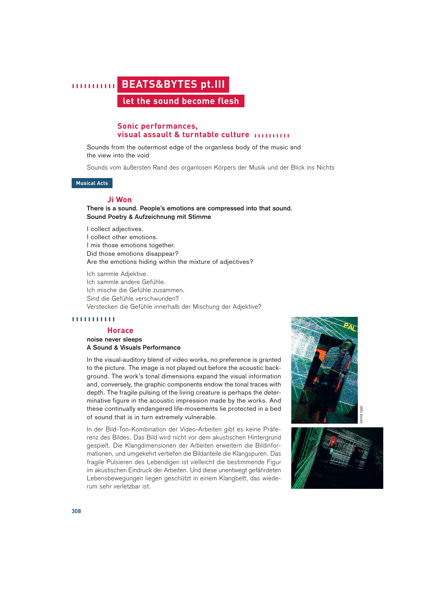# **||||||||||| BEATS&BYTES pt.III let the sound become flesh**

# **Sonic performances, visual assault & turntable culture ||||||||||**

Sounds from the outermost edge of the organless body of the music and the view into the void

Sounds vom äußersten Rand des organlosen Körpers der Musik und der Blick ins Nichts

**Musical Acts**

## **Ji Won**

# **There is a sound. People's emotions are compressed into that sound. Sound Poetry & Aufzeichnung mit Stimme**

I collect adjectives. I collect other emotions. I mix those emotions together. Did those emotions disappear? Are the emotions hiding within the mixture of adjectives?

Ich sammle Adjektive. Ich sammle andere Gefühle. Ich mische die Gefühle zusammen. Sind die Gefühle verschwunden? Verstecken die Gefühle innerhalb der Mischung der Adjektive?

#### **|||||||||||**

#### **Horace**

#### **noise never sleeps A Sound & Visuals Performance**

In the visual-auditory blend of video works, no preference is granted to the picture. The image is not played out before the acoustic background. The work's tonal dimensions expand the visual information and, conversely, the graphic components endow the tonal traces with depth. The fragile pulsing of the living creature is perhaps the determinative figure in the acoustic impression made by the works. And these continually endangered life-movements lie protected in a bed of sound that is in turn extremely vulnerable.

In der Bild-Ton-Kombination der Video-Arbeiten gibt es keine Präferenz des Bildes. Das Bild wird nicht vor dem akustischen Hintergrund gespielt. Die Klangdimensionen der Arbeiten erweitern die Bildinformationen, und umgekehrt vertiefen die Bildanteile die Klangspuren. Das fragile Pulsieren des Lebendigen ist vielleicht die bestimmende Figur im akustischen Eindruck der Arbeiten. Und diese unentwegt gefährdeten Lebensbewegungen liegen geschützt in einem Klangbett, das wiederum sehr verletzbar ist.



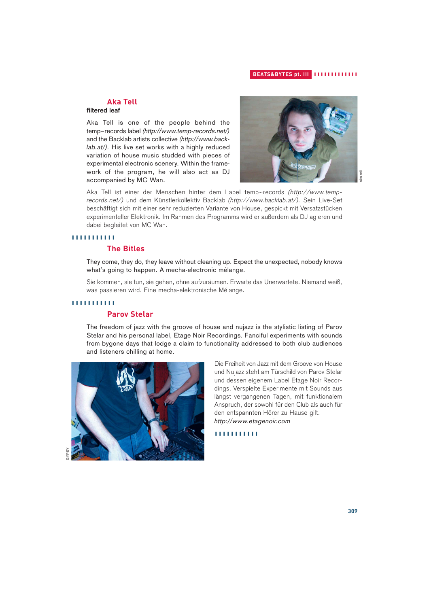## **BEATS&BYTES pt. III |||||||||||||**

# **Aka Tell**

# **filtered leaf**

Aka Tell is one of the people behind the temp~records label *(http://www.temp-records.net/)* and the Backlab artists collective *(http://www.backlab.at/).* His live set works with a highly reduced variation of house music studded with pieces of experimental electronic scenery. Within the framework of the program, he will also act as DJ accompanied by MC Wan.



Aka Tell ist einer der Menschen hinter dem Label temp~records *(http://www.temprecords.net/)* und dem Künstlerkollektiv Backlab *(http://www.backlab.at/).* Sein Live-Set beschäftigt sich mit einer sehr reduzierten Variante von House, gespickt mit Versatzstücken experimenteller Elektronik. Im Rahmen des Programms wird er außerdem als DJ agieren und dabei begleitet von MC Wan.

#### **|||||||||||**

# **The Bitles**

They come, they do, they leave without cleaning up. Expect the unexpected, nobody knows what's going to happen. A mecha-electronic mélange.

Sie kommen, sie tun, sie gehen, ohne aufzuräumen. Erwarte das Unerwartete. Niemand weiß, was passieren wird. Eine mecha-elektronische Mélange.

# **|||||||||||**

# **Parov Stelar**

The freedom of jazz with the groove of house and nujazz is the stylistic listing of Parov Stelar and his personal label, Etage Noir Recordings. Fanciful experiments with sounds from bygone days that lodge a claim to functionality addressed to both club audiences and listeners chilling at home.



Die Freiheit von Jazz mit dem Groove von House und Nujazz steht am Türschild von Parov Stelar und dessen eigenem Label Etage Noir Recordings. Verspielte Experimente mit Sounds aus längst vergangenen Tagen, mit funktionalem Anspruch, der sowohl für den Club als auch für den entspannten Hörer zu Hause gilt. *http://www.etagenoir.com*

**|||||||||||**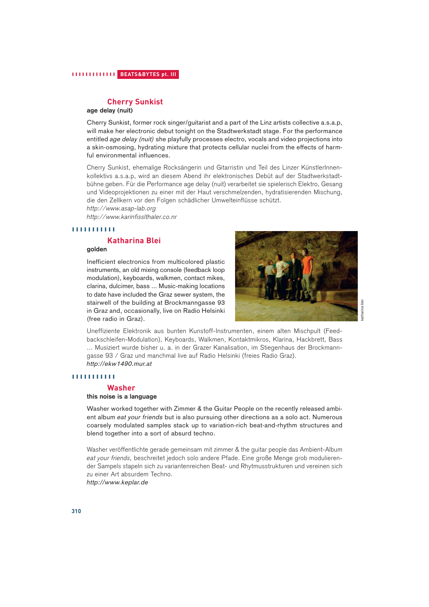# **Cherry Sunkist**

#### **age delay (nuit)**

Cherry Sunkist, former rock singer/guitarist and a part of the Linz artists collective a.s.a.p, will make her electronic debut tonight on the Stadtwerkstadt stage. For the performance entitled *age delay (nuit)* she playfully processes electro, vocals and video projections into a skin-osmosing, hydrating mixture that protects cellular nuclei from the effects of harmful environmental influences.

Cherry Sunkist, ehemalige Rocksängerin und Gitarristin und Teil des Linzer KünstlerInnenkollektivs a.s.a.p, wird an diesem Abend ihr elektronisches Debüt auf der Stadtwerkstadtbühne geben. Für die Performance age delay (nuit) verarbeitet sie spielerisch Elektro, Gesang und Videoprojektionen zu einer mit der Haut verschmelzenden, hydratisierenden Mischung, die den Zellkern vor den Folgen schädlicher Umwelteinflüsse schützt.

*http://www.asap-lab.org*

*http://www.karinfisslthaler.co.nr*

#### **|||||||||||**

# **Katharina Blei**

# **golden**

Inefficient electronics from multicolored plastic instruments, an old mixing console (feedback loop modulation), keyboards, walkmen, contact mikes, clarina, dulcimer, bass ... Music-making locations to date have included the Graz sewer system, the stairwell of the building at Brockmanngasse 93 in Graz and, occasionally, live on Radio Helsinki (free radio in Graz).



Uneffiziente Elektronik aus bunten Kunstoff-Instrumenten, einem alten Mischpult (Feedbackschleifen-Modulation), Keyboards, Walkmen, Kontaktmikros, Klarina, Hackbrett, Bass ... Musiziert wurde bisher u. a. in der Grazer Kanalisation, im Stiegenhaus der Brockmanngasse 93 / Graz und manchmal live auf Radio Helsinki (freies Radio Graz). *http://ekw1490.mur.at*

#### **|||||||||||**

#### **Washer**

#### **this noise is a language**

Washer worked together with Zimmer & the Guitar People on the recently released ambient album *eat your friends* but is also pursuing other directions as a solo act. Numerous coarsely modulated samples stack up to variation-rich beat-and-rhythm structures and blend together into a sort of absurd techno.

Washer veröffentlichte gerade gemeinsam mit zimmer & the guitar people das Ambient-Album *eat your friends,* beschreitet jedoch solo andere Pfade. Eine große Menge grob modulierender Sampels stapeln sich zu variantenreichen Beat- und Rhytmusstrukturen und vereinen sich zu einer Art absurdem Techno.

*http://www.keplar.de*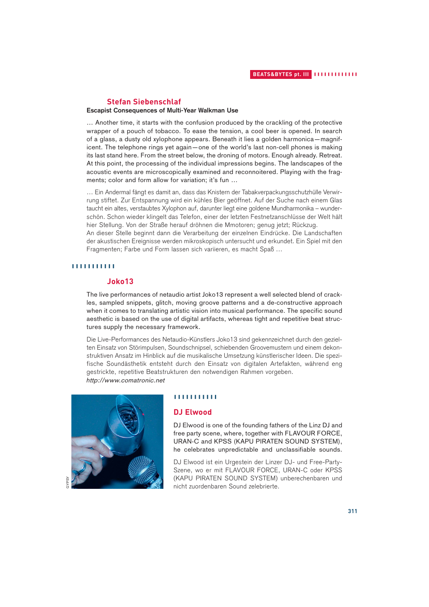# **Stefan Siebenschlaf**

#### **Escapist Consequences of Multi-Year Walkman Use**

… Another time, it starts with the confusion produced by the crackling of the protective wrapper of a pouch of tobacco. To ease the tension, a cool beer is opened. In search of a glass, a dusty old xylophone appears. Beneath it lies a golden harmonica—magnificent. The telephone rings yet again—one of the world's last non-cell phones is making its last stand here. From the street below, the droning of motors. Enough already. Retreat. At this point, the processing of the individual impressions begins. The landscapes of the acoustic events are microscopically examined and reconnoitered. Playing with the fragments; color and form allow for variation; it's fun …

… Ein Andermal fängt es damit an, dass das Knistern der Tabakverpackungsschutzhülle Verwirrung stiftet. Zur Entspannung wird ein kühles Bier geöffnet. Auf der Suche nach einem Glas taucht ein altes, verstaubtes Xylophon auf, darunter liegt eine goldene Mundharmonika – wunderschön. Schon wieder klingelt das Telefon, einer der letzten Festnetzanschlüsse der Welt hält hier Stellung. Von der Straße herauf dröhnen die Mmotoren; genug jetzt; Rückzug.

An dieser Stelle beginnt dann die Verarbeitung der einzelnen Eindrücke. Die Landschaften der akustischen Ereignisse werden mikroskopisch untersucht und erkundet. Ein Spiel mit den Fragmenten; Farbe und Form lassen sich variieren, es macht Spaß …

#### **|||||||||||**

# **Joko13**

The live performances of netaudio artist Joko13 represent a well selected blend of crackles, sampled snippets, glitch, moving groove patterns and a de-constructive approach when it comes to translating artistic vision into musical performance. The specific sound aesthetic is based on the use of digital artifacts, whereas tight and repetitive beat structures supply the necessary framework.

Die Live-Performances des Netaudio-Künstlers Joko13 sind gekennzeichnet durch den gezielten Einsatz von Störimpulsen, Soundschnipsel, schiebenden Groovemustern und einem dekonstruktiven Ansatz im Hinblick auf die musikalische Umsetzung künstlerischer Ideen. Die spezifische Soundästhetik entsteht durch den Einsatz von digitalen Artefakten, während eng gestrickte, repetitive Beatstrukturen den notwendigen Rahmen vorgeben. *http://www.comatronic.net*



#### **|||||||||||**

## **DJ Elwood**

DJ Elwood is one of the founding fathers of the Linz DJ and free party scene, where, together with FLAVOUR FORCE, URAN-C and KPSS (KAPU PIRATEN SOUND SYSTEM), he celebrates unpredictable and unclassifiable sounds.

DJ Elwood ist ein Urgestein der Linzer DJ- und Free-Party-Szene, wo er mit FLAVOUR FORCE, URAN-C oder KPSS (KAPU PIRATEN SOUND SYSTEM) unberechenbaren und nicht zuordenbaren Sound zelebrierte.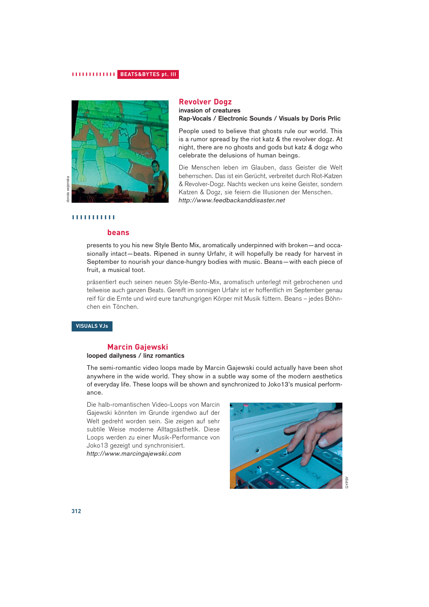# **||||||||||||| BEATS&BYTES pt. III**



# **Revolver Dogz**

**invasion of creatures Rap-Vocals / Electronic Sounds / Visuals by Doris Prlic**

People used to believe that ghosts rule our world. This is a rumor spread by the riot katz & the revolver dogz. At night, there are no ghosts and gods but katz & dogz who celebrate the delusions of human beings.

Die Menschen leben im Glauben, dass Geister die Welt beherrschen. Das ist ein Gerücht, verbreitet durch Riot-Katzen & Revolver-Dogz. Nachts wecken uns keine Geister, sondern Katzen & Dogz, sie feiern die Illusionen der Menschen. *http://www.feedbackanddisaster.net*

## **|||||||||||**

# **beans**

presents to you his new Style Bento Mix, aromatically underpinned with broken—and occasionally intact—beats. Ripened in sunny Urfahr, it will hopefully be ready for harvest in September to nourish your dance-hungry bodies with music. Beans—with each piece of fruit, a musical toot.

präsentiert euch seinen neuen Style-Bento-Mix, aromatisch unterlegt mit gebrochenen und teilweise auch ganzen Beats. Gereift im sonnigen Urfahr ist er hoffentlich im September genau reif für die Ernte und wird eure tanzhungrigen Körper mit Musik füttern. Beans – jedes Böhnchen ein Tönchen.

#### **VISUALS VJs**

# **Marcin Gajewski**

#### **looped dailyness / linz romantics**

The semi-romantic video loops made by Marcin Gajewski could actually have been shot anywhere in the wide world. They show in a subtle way some of the modern aesthetics of everyday life. These loops will be shown and synchronized to Joko13's musical performance.

Die halb-romantischen Video-Loops von Marcin Gajewski könnten im Grunde irgendwo auf der Welt gedreht worden sein. Sie zeigen auf sehr subtile Weise moderne Alltagsästhetik. Diese Loops werden zu einer Musik-Performance von Joko13 gezeigt und synchronisiert. *http://www.marcingajewski.com*



GYPSY